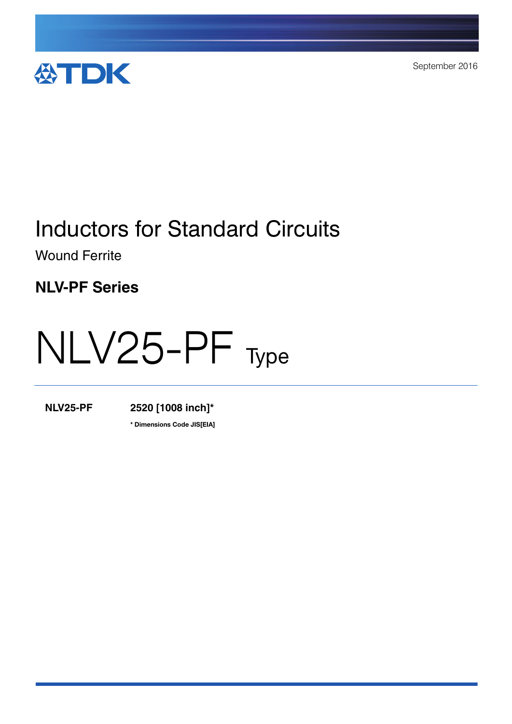

September 2016

# Inductors for Standard Circuits

Wound Ferrite

**NLV-PF Series**

# NLV25-PF Type

**NLV25-PF 2520 [1008 inch]\***

**\*** Dimensions Code JIS[EIA]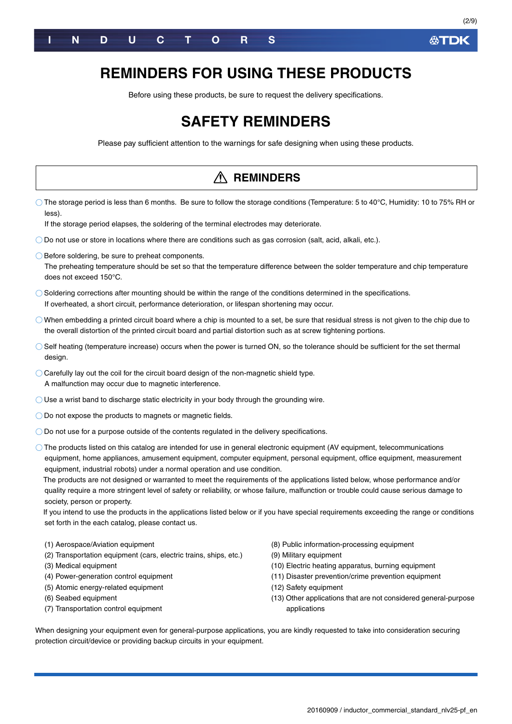

### **REMINDERS FOR USING THESE PRODUCTS**

Before using these products, be sure to request the delivery specifications.

### **SAFETY REMINDERS**

Please pay sufficient attention to the warnings for safe designing when using these products.

|                                                                                                                                                                                                                                                                                                                                                                                                                                                                                                                                                                                                                                                                                                                                                                                                                                                                     | <b>REMINDERS</b>                                                                                                                                                                                                                                                                               |
|---------------------------------------------------------------------------------------------------------------------------------------------------------------------------------------------------------------------------------------------------------------------------------------------------------------------------------------------------------------------------------------------------------------------------------------------------------------------------------------------------------------------------------------------------------------------------------------------------------------------------------------------------------------------------------------------------------------------------------------------------------------------------------------------------------------------------------------------------------------------|------------------------------------------------------------------------------------------------------------------------------------------------------------------------------------------------------------------------------------------------------------------------------------------------|
| $\circlearrowright$ The storage period is less than 6 months. Be sure to follow the storage conditions (Temperature: 5 to 40°C, Humidity: 10 to 75% RH or<br>less).<br>If the storage period elapses, the soldering of the terminal electrodes may deteriorate.                                                                                                                                                                                                                                                                                                                                                                                                                                                                                                                                                                                                     |                                                                                                                                                                                                                                                                                                |
| $\bigcirc$ Do not use or store in locations where there are conditions such as gas corrosion (salt, acid, alkali, etc.).                                                                                                                                                                                                                                                                                                                                                                                                                                                                                                                                                                                                                                                                                                                                            |                                                                                                                                                                                                                                                                                                |
| ◯ Before soldering, be sure to preheat components.<br>The preheating temperature should be set so that the temperature difference between the solder temperature and chip temperature<br>does not exceed 150°C.                                                                                                                                                                                                                                                                                                                                                                                                                                                                                                                                                                                                                                                     |                                                                                                                                                                                                                                                                                                |
| $\bigcirc$ Soldering corrections after mounting should be within the range of the conditions determined in the specifications.<br>If overheated, a short circuit, performance deterioration, or lifespan shortening may occur.                                                                                                                                                                                                                                                                                                                                                                                                                                                                                                                                                                                                                                      |                                                                                                                                                                                                                                                                                                |
| $\bigcirc$ When embedding a printed circuit board where a chip is mounted to a set, be sure that residual stress is not given to the chip due to<br>the overall distortion of the printed circuit board and partial distortion such as at screw tightening portions.                                                                                                                                                                                                                                                                                                                                                                                                                                                                                                                                                                                                |                                                                                                                                                                                                                                                                                                |
| Self heating (temperature increase) occurs when the power is turned ON, so the tolerance should be sufficient for the set thermal<br>design.                                                                                                                                                                                                                                                                                                                                                                                                                                                                                                                                                                                                                                                                                                                        |                                                                                                                                                                                                                                                                                                |
| $\bigcirc$ Carefully lay out the coil for the circuit board design of the non-magnetic shield type.<br>A malfunction may occur due to magnetic interference.                                                                                                                                                                                                                                                                                                                                                                                                                                                                                                                                                                                                                                                                                                        |                                                                                                                                                                                                                                                                                                |
| $\bigcirc$ Use a wrist band to discharge static electricity in your body through the grounding wire.                                                                                                                                                                                                                                                                                                                                                                                                                                                                                                                                                                                                                                                                                                                                                                |                                                                                                                                                                                                                                                                                                |
| $\bigcirc$ Do not expose the products to magnets or magnetic fields.                                                                                                                                                                                                                                                                                                                                                                                                                                                                                                                                                                                                                                                                                                                                                                                                |                                                                                                                                                                                                                                                                                                |
| $\bigcirc$ Do not use for a purpose outside of the contents regulated in the delivery specifications.                                                                                                                                                                                                                                                                                                                                                                                                                                                                                                                                                                                                                                                                                                                                                               |                                                                                                                                                                                                                                                                                                |
| $\circlearrowright$ The products listed on this catalog are intended for use in general electronic equipment (AV equipment, telecommunications<br>equipment, home appliances, amusement equipment, computer equipment, personal equipment, office equipment, measurement<br>equipment, industrial robots) under a normal operation and use condition.<br>The products are not designed or warranted to meet the requirements of the applications listed below, whose performance and/or<br>quality require a more stringent level of safety or reliability, or whose failure, malfunction or trouble could cause serious damage to<br>society, person or property.<br>If you intend to use the products in the applications listed below or if you have special requirements exceeding the range or conditions<br>set forth in the each catalog, please contact us. |                                                                                                                                                                                                                                                                                                |
| (1) Aerospace/Aviation equipment<br>(2) Transportation equipment (cars, electric trains, ships, etc.)<br>(3) Medical equipment<br>(4) Power-generation control equipment<br>(5) Atomic energy-related equipment<br>(6) Seabed equipment<br>(7) Transportation control equipment<br>When designing your equipment even for general-purpose applications, you are kindly requested to take into consideration securing<br>protection circuit/device or providing backup circuits in your equipment.                                                                                                                                                                                                                                                                                                                                                                   | (8) Public information-processing equipment<br>(9) Military equipment<br>(10) Electric heating apparatus, burning equipment<br>(11) Disaster prevention/crime prevention equipment<br>(12) Safety equipment<br>(13) Other applications that are not considered general-purpose<br>applications |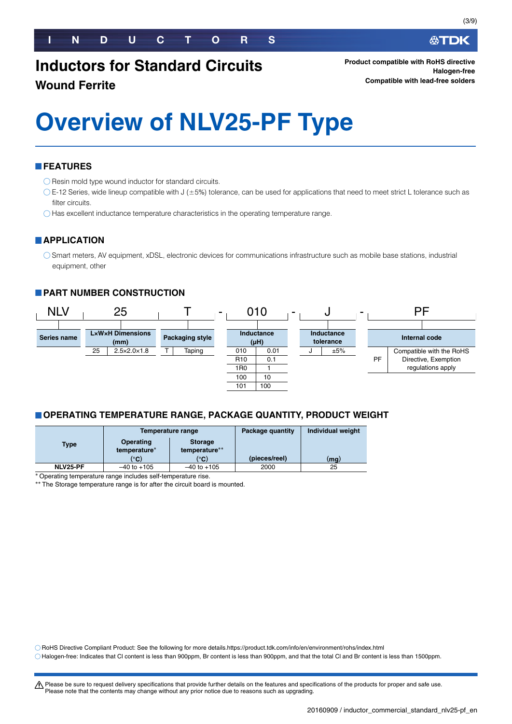### **Inductors for Standard Circuits**

#### **Wound Ferrite**

# **Overview of NLV25-PF Type**

#### **FEATURES**

 $\bigcirc$  Resin mold type wound inductor for standard circuits.

- $\circ$  E-12 Series, wide lineup compatible with J ( $\pm$ 5%) tolerance, can be used for applications that need to meet strict L tolerance such as filter circuits.
- Has excellent inductance temperature characteristics in the operating temperature range.

#### **APPLICATION**

Smart meters, AV equipment, xDSL, electronic devices for communications infrastructure such as mobile base stations, industrial equipment, other

#### **PART NUMBER CONSTRUCTION**



#### **OPERATING TEMPERATURE RANGE, PACKAGE QUANTITY, PRODUCT WEIGHT**

|             |                           | Temperature range               | Package quantity | Individual weight |
|-------------|---------------------------|---------------------------------|------------------|-------------------|
| <b>Type</b> | Operating<br>temperature* | <b>Storage</b><br>temperature** |                  |                   |
|             | $(^\circ$ C)              | $^{\circ}$ C)                   | (pieces/reel)    | (mq)              |
| NLV25-PF    | $-40$ to $+105$           | $-40$ to $+105$                 | 2000             | 25                |

Operating temperature range includes self-temperature rise.

The Storage temperature range is for after the circuit board is mounted.

RoHS Directive Compliant Product: See the following for more details.https://product.tdk.com/info/en/environment/rohs/index.html

Halogen-free: Indicates that Cl content is less than 900ppm, Br content is less than 900ppm, and that the total Cl and Br content is less than 1500ppm.

t Please be sure to request delivery specifications that provide further details on the features and specifications of the products for proper and safe use. Please note that the contents may change without any prior notice due to reasons such as upgrading.

∰TDK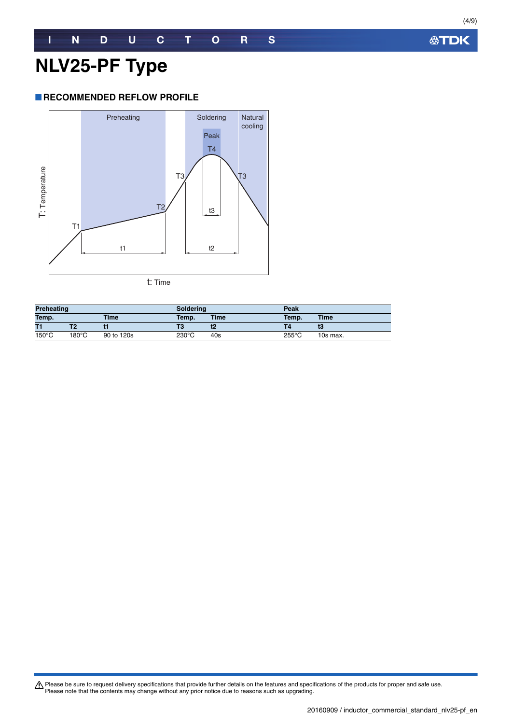#### **RECOMMENDED REFLOW PROFILE**



t: Time

| <b>Preheating</b>    |                 | Soldering  |                 | Peak  |                 |          |
|----------------------|-----------------|------------|-----------------|-------|-----------------|----------|
| Temp.<br><b>Time</b> |                 | Temp.      | <b>Time</b>     | Temp. | <b>Time</b>     |          |
| T1                   |                 |            | Т3              |       |                 | t3       |
| $150^{\circ}$ C      | $180^{\circ}$ C | 90 to 120s | $230^{\circ}$ C | 40s   | $255^{\circ}$ C | 10s max. |

Please be sure to request delivery specifications that provide further details on the features and specifications of the products for proper and safe use.<br>Please note that the contents may change without any prior notice d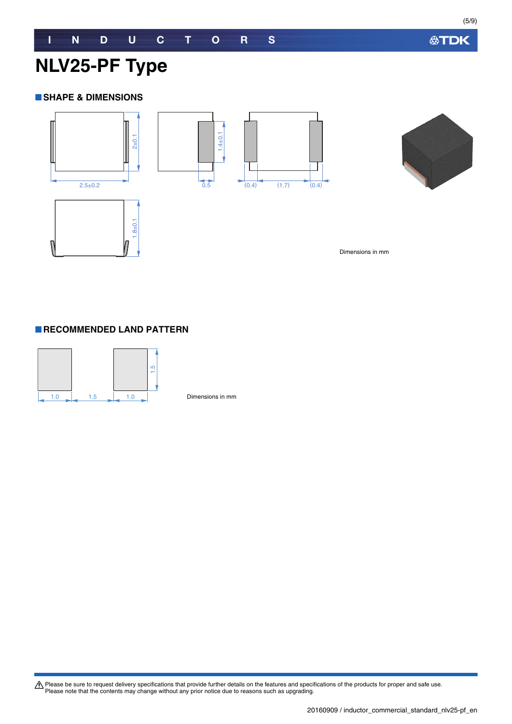**公TDK** 

### **NLV25-PF Type**

#### **SHAPE & DIMENSIONS**





Dimensions in mm

#### **RECOMMENDED LAND PATTERN**



Dimensions in mm

Please be sure to request delivery specifications that provide further details on the features and specifications of the products for proper and safe use.<br>Please note that the contents may change without any prior notice d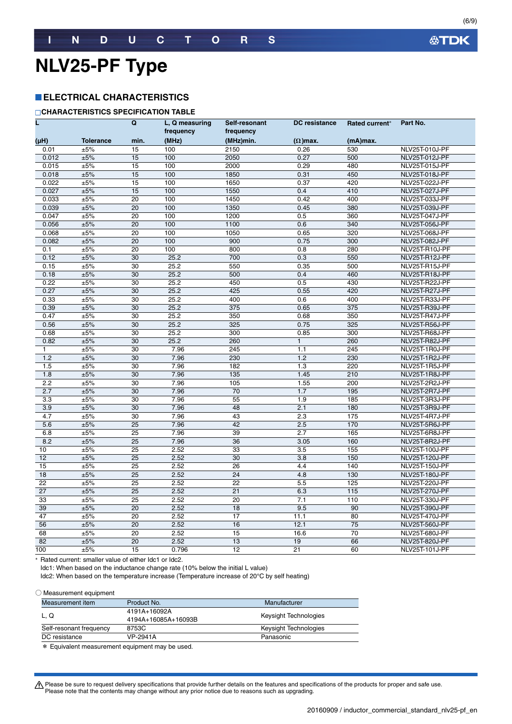### **NLV25-PF Type**

#### **ELECTRICAL CHARACTERISTICS**

#### **CHARACTERISTICS SPECIFICATION TABLE**

|                  |                  | Q               | L. Q measuring<br>frequency | Self-resonant<br>frequency | <b>DC</b> resistance | Rated current* | Part No.       |
|------------------|------------------|-----------------|-----------------------------|----------------------------|----------------------|----------------|----------------|
| (µH)             | <b>Tolerance</b> | min.            | (MHz)                       | (MHz)min.                  | $(\Omega)$ max.      | (mA)max.       |                |
| 0.01             | ±5%              | 15              | 100                         | 2150                       | 0.26                 | 530            | NLV25T-010J-PF |
| 0.012            | ±5%              | 15              | 100                         | 2050                       | 0.27                 | 500            | NLV25T-012J-PF |
| 0.015            | ±5%              | 15              | 100                         | 2000                       | 0.29                 | 480            | NLV25T-015J-PF |
| 0.018            | ±5%              | 15              | 100                         | 1850                       | 0.31                 | 450            | NLV25T-018J-PF |
| 0.022            | ±5%              | 15              | 100                         | 1650                       | 0.37                 | 420            | NLV25T-022J-PF |
| 0.027            | ±5%              | 15              | 100                         | 1550                       | 0.4                  | 410            | NLV25T-027J-PF |
| 0.033            | ±5%              | 20              | 100                         | 1450                       | 0.42                 | 400            | NLV25T-033J-PF |
| 0.039            | ±5%              | 20              | 100                         | 1350                       | 0.45                 | 380            | NLV25T-039J-PF |
| 0.047            | ±5%              | 20              | 100                         | 1200                       | 0.5                  | 360            | NLV25T-047J-PF |
| 0.056            | ±5%              | 20              | 100                         | 1100                       | 0.6                  | 340            | NLV25T-056J-PF |
| 0.068            | ±5%              | 20              | 100                         | 1050                       | 0.65                 | 320            | NLV25T-068J-PF |
| 0.082            | ±5%              | 20              | 100                         | 900                        | 0.75                 | 300            | NLV25T-082J-PF |
| 0.1              | ±5%              | 20              | 100                         | 800                        | 0.8                  | 280            | NLV25T-R10J-PF |
| 0.12             | ±5%              | 30              | 25.2                        | 700                        | 0.3                  | 550            | NLV25T-R12J-PF |
| 0.15             | ±5%              | 30              | 25.2                        | 550                        | 0.35                 | 500            | NLV25T-R15J-PF |
| 0.18             | ±5%              | 30              | 25.2                        | 500                        | 0.4                  | 460            | NLV25T-R18J-PF |
| 0.22             | ±5%              | 30              | 25.2                        | 450                        | 0.5                  | 430            | NLV25T-R22J-PF |
| 0.27             | ±5%              | 30              | 25.2                        | 425                        | 0.55                 | 420            | NLV25T-R27J-PF |
| 0.33             | ±5%              | $\overline{30}$ | 25.2                        | 400                        | 0.6                  | 400            | NLV25T-R33J-PF |
| 0.39             | ±5%              | 30              | 25.2                        | 375                        | 0.65                 | 375            | NLV25T-R39J-PF |
| 0.47             | ±5%              | 30              | 25.2                        | 350                        | 0.68                 | 350            | NLV25T-R47J-PF |
| 0.56             | ±5%              | 30              | 25.2                        | 325                        | 0.75                 | 325            | NLV25T-R56J-PF |
| 0.68             | $\pm 5\%$        | 30              | 25.2                        | 300                        | 0.85                 | 300            | NLV25T-R68J-PF |
| 0.82             | ±5%              | 30              | 25.2                        | 260                        | $\mathbf{1}$         | 260            | NLV25T-R82J-PF |
| 1                | ±5%              | $\overline{30}$ | 7.96                        | $\overline{245}$           | 1.1                  | 245            | NLV25T-1R0J-PF |
| 1.2              | ±5%              | 30              | 7.96                        | 230                        | 1.2                  | 230            | NLV25T-1R2J-PF |
| 1.5              | ±5%              | 30              | 7.96                        | 182                        | 1.3                  | 220            | NLV25T-1R5J-PF |
| 1.8              | ±5%              | 30              | 7.96                        | $\frac{135}{2}$            | 1.45                 | 210            | NLV25T-1R8J-PF |
| $\overline{2.2}$ | $\pm 5\%$        | 30              | 7.96                        | 105                        | 1.55                 | 200            | NLV25T-2R2J-PF |
| 2.7              | ±5%              | 30              | 7.96                        | 70                         | 1.7                  | 195            | NLV25T-2R7J-PF |
| 3.3              | ±5%              | 30              | 7.96                        | $\overline{55}$            | 1.9                  | 185            | NLV25T-3R3J-PF |
| 3.9              | ±5%              | 30              | 7.96                        | 48                         | 2.1                  | 180            | NLV25T-3R9J-PF |
| 4.7              | ±5%              | 30              | 7.96                        | 43                         | 2.3                  | 175            | NLV25T-4R7J-PF |
| 5.6              | ±5%              | $\overline{25}$ | 7.96                        | 42                         | 2.5                  | 170            | NLV25T-5R6J-PF |
| 6.8              | ±5%              | $\overline{25}$ | 7.96                        | 39                         | $\overline{2.7}$     | 165            | NLV25T-6R8J-PF |
| 8.2              | ±5%              | $\overline{25}$ | 7.96                        | 36                         | 3.05                 | 160            | NLV25T-8R2J-PF |
| 10               | ±5%              | $\overline{25}$ | 2.52                        | 33                         | 3.5                  | 155            | NLV25T-100J-PF |
| 12               | ±5%              | 25              | 2.52                        | 30                         | 3.8                  | 150            | NLV25T-120J-PF |
| 15               | ±5%              | 25              | 2.52                        | 26                         | 4.4                  | 140            | NLV25T-150J-PF |
| 18               | ±5%              | 25              | 2.52                        | 24                         | 4.8                  | 130            | NLV25T-180J-PF |
| 22               | ±5%              | 25              | 2.52                        | $\overline{22}$            | 5.5                  | 125            | NLV25T-220J-PF |
| 27               | ±5%              | $\overline{25}$ | 2.52                        | $\overline{21}$            | 6.3                  | 115            | NLV25T-270J-PF |
| 33               | ±5%              | 25              | 2.52                        | 20                         | 7.1                  | 110            | NLV25T-330J-PF |
| 39               | ±5%              | $\overline{20}$ | 2.52                        | 18                         | 9.5                  | 90             | NLV25T-390J-PF |
| 47               | $\pm 5\%$        | 20              | 2.52                        | 17                         | 11.1                 | 80             | NLV25T-470J-PF |
| 56               | ±5%              | 20              | 2.52                        | 16                         | 12.1                 | 75             | NLV25T-560J-PF |
| 68               | ±5%              | 20              | 2.52                        | 15                         | 16.6                 | 70             | NLV25T-680J-PF |
| 82               | ±5%              | 20              | 2.52                        | 13                         | 19                   | 66             | NLV25T-820J-PF |
| 100              | ±5%              | 15              | 0.796                       | 12                         | 21                   | 60             | NLV25T-101J-PF |

\* Rated current: smaller value of either Idc1 or Idc2.

Idc1: When based on the inductance change rate (10% below the initial L value)

Idc2: When based on the temperature increase (Temperature increase of 20°C by self heating)

○ Measurement equipment

| Measurement item        | Product No.                         | Manufacturer          |  |  |
|-------------------------|-------------------------------------|-----------------------|--|--|
| L. Q                    | 4191A+16092A<br>4194A+16085A+16093B | Keysight Technologies |  |  |
| Self-resonant frequency | 8753C                               | Keysight Technologies |  |  |
| DC resistance           | VP-2941A                            | Panasonic             |  |  |
|                         |                                     |                       |  |  |

\* Equivalent measurement equipment may be used.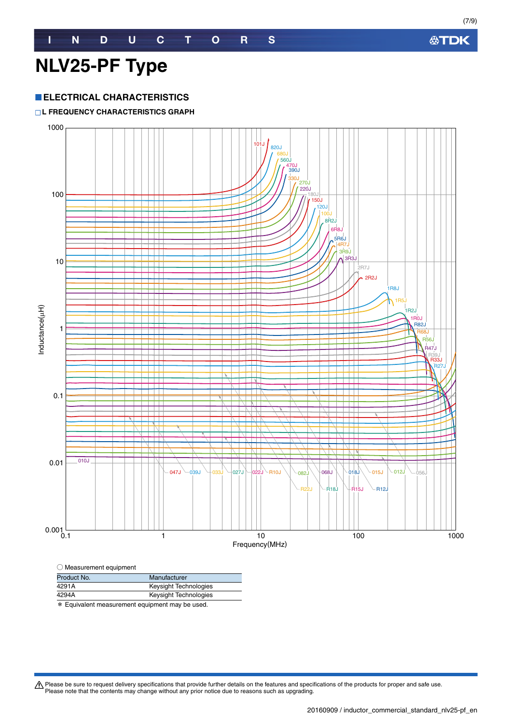#### **ELECTRICAL CHARACTERISTICS**

#### **L FREQUENCY CHARACTERISTICS GRAPH**



| Product No. | Manufacturer          |
|-------------|-----------------------|
| 4291A       | Keysight Technologies |
| 4294A       | Keysight Technologies |
| .           |                       |

\* Equivalent measurement equipment may be used.

Please be sure to request delivery specifications that provide further details on the features and specifications of the products for proper and safe use.<br>Please note that the contents may change without any prior notice d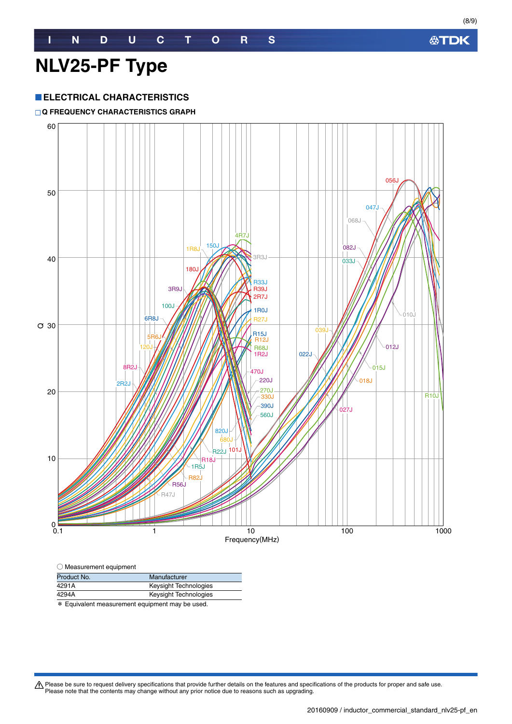#### **ELECTRICAL CHARACTERISTICS**

#### **Q FREQUENCY CHARACTERISTICS GRAPH**



| $\bigcirc$ Measurement equipment |  |
|----------------------------------|--|
|----------------------------------|--|

| Product No. | Manufacturer                                          |
|-------------|-------------------------------------------------------|
| 4291A       | Keysight Technologies                                 |
| 4294A       | Keysight Technologies                                 |
|             | <b>W</b> Equivalent moonurament equipment mou he used |

\* Equivalent measurement equipment may be used.

Please be sure to request delivery specifications that provide further details on the features and specifications of the products for proper and safe use.<br>Please note that the contents may change without any prior notice d